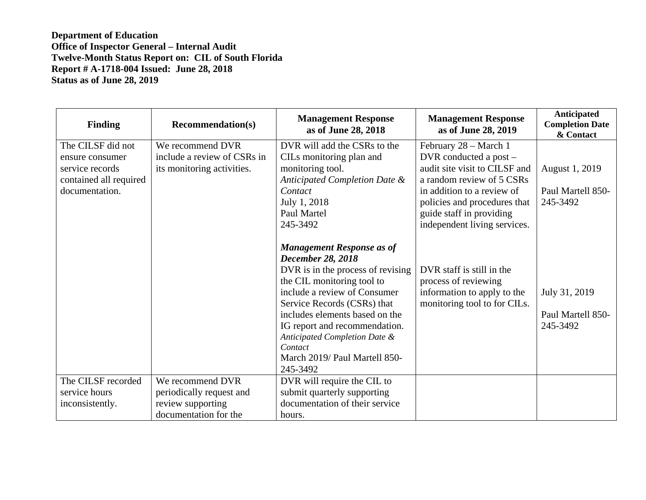| <b>Finding</b>         | <b>Recommendation(s)</b>    | <b>Management Response</b><br>as of June 28, 2018                                                                                                                                                                                                                                                                                                          | <b>Management Response</b><br>as of June 28, 2019                                                                | <b>Anticipated</b><br><b>Completion Date</b><br>& Contact |
|------------------------|-----------------------------|------------------------------------------------------------------------------------------------------------------------------------------------------------------------------------------------------------------------------------------------------------------------------------------------------------------------------------------------------------|------------------------------------------------------------------------------------------------------------------|-----------------------------------------------------------|
| The CILSF did not      | We recommend DVR            | DVR will add the CSRs to the                                                                                                                                                                                                                                                                                                                               | February 28 - March 1                                                                                            |                                                           |
| ensure consumer        | include a review of CSRs in | CILs monitoring plan and                                                                                                                                                                                                                                                                                                                                   | DVR conducted a post -                                                                                           |                                                           |
| service records        | its monitoring activities.  | monitoring tool.                                                                                                                                                                                                                                                                                                                                           | audit site visit to CILSF and                                                                                    | August 1, 2019                                            |
| contained all required |                             | Anticipated Completion Date &                                                                                                                                                                                                                                                                                                                              | a random review of 5 CSRs                                                                                        |                                                           |
| documentation.         |                             | Contact                                                                                                                                                                                                                                                                                                                                                    | in addition to a review of                                                                                       | Paul Martell 850-                                         |
|                        |                             | July 1, 2018                                                                                                                                                                                                                                                                                                                                               | policies and procedures that                                                                                     | 245-3492                                                  |
|                        |                             | Paul Martel                                                                                                                                                                                                                                                                                                                                                | guide staff in providing                                                                                         |                                                           |
|                        |                             | 245-3492                                                                                                                                                                                                                                                                                                                                                   | independent living services.                                                                                     |                                                           |
|                        |                             | <b>Management Response as of</b><br><b>December 28, 2018</b><br>DVR is in the process of revising<br>the CIL monitoring tool to<br>include a review of Consumer<br>Service Records (CSRs) that<br>includes elements based on the<br>IG report and recommendation.<br>Anticipated Completion Date &<br>Contact<br>March 2019/ Paul Martell 850-<br>245-3492 | DVR staff is still in the<br>process of reviewing<br>information to apply to the<br>monitoring tool to for CILs. | July 31, 2019<br>Paul Martell 850-<br>245-3492            |
| The CILSF recorded     | We recommend DVR            | DVR will require the CIL to                                                                                                                                                                                                                                                                                                                                |                                                                                                                  |                                                           |
| service hours          | periodically request and    | submit quarterly supporting                                                                                                                                                                                                                                                                                                                                |                                                                                                                  |                                                           |
| inconsistently.        | review supporting           | documentation of their service                                                                                                                                                                                                                                                                                                                             |                                                                                                                  |                                                           |
|                        | documentation for the       | hours.                                                                                                                                                                                                                                                                                                                                                     |                                                                                                                  |                                                           |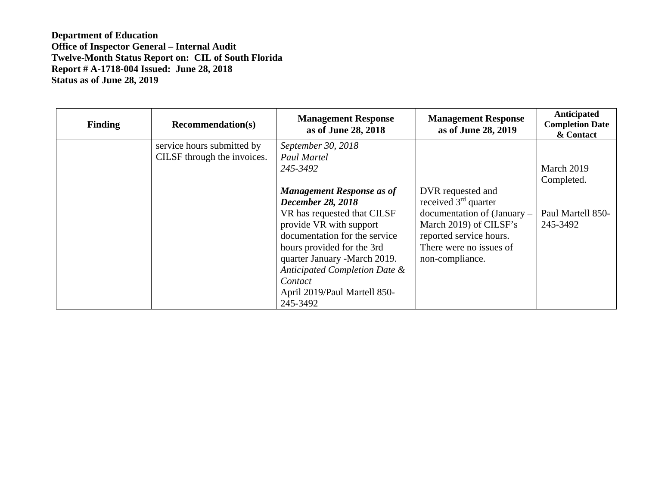| <b>Finding</b> | <b>Recommendation(s)</b>    | <b>Management Response</b><br>as of June 28, 2018 | <b>Management Response</b><br>as of June 28, 2019 | Anticipated<br><b>Completion Date</b><br>& Contact |
|----------------|-----------------------------|---------------------------------------------------|---------------------------------------------------|----------------------------------------------------|
|                | service hours submitted by  | September 30, 2018                                |                                                   |                                                    |
|                | CILSF through the invoices. | <b>Paul Martel</b>                                |                                                   |                                                    |
|                |                             | 245-3492                                          |                                                   | March 2019                                         |
|                |                             |                                                   |                                                   | Completed.                                         |
|                |                             | <b>Management Response as of</b>                  | DVR requested and                                 |                                                    |
|                |                             | <b>December 28, 2018</b>                          | received $3rd$ quarter                            |                                                    |
|                |                             | VR has requested that CILSF                       | $d$ ocumentation of (January $-$                  | Paul Martell 850-                                  |
|                |                             | provide VR with support                           | March 2019) of CILSF's                            | 245-3492                                           |
|                |                             | documentation for the service                     | reported service hours.                           |                                                    |
|                |                             | hours provided for the 3rd                        | There were no issues of                           |                                                    |
|                |                             | quarter January -March 2019.                      | non-compliance.                                   |                                                    |
|                |                             | Anticipated Completion Date &                     |                                                   |                                                    |
|                |                             | Contact                                           |                                                   |                                                    |
|                |                             | April 2019/Paul Martell 850-                      |                                                   |                                                    |
|                |                             | 245-3492                                          |                                                   |                                                    |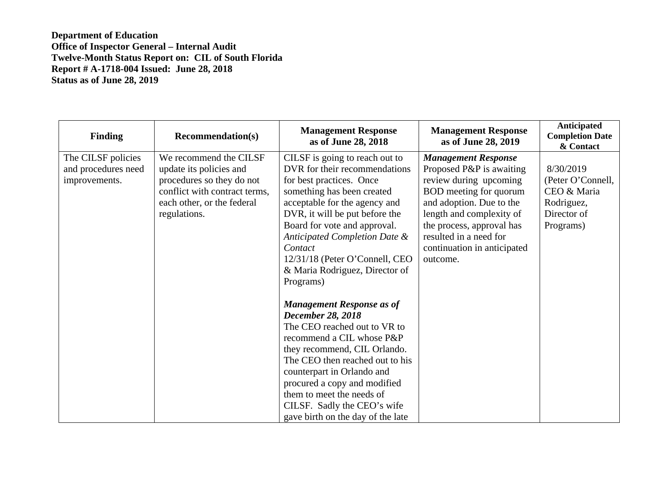| <b>Finding</b>                                             | <b>Recommendation(s)</b>                                                                                                                                      | <b>Management Response</b><br>as of June 28, 2018                                                                                                                                                                                                                                                                                                                                                                                                                                                                                                                                                                                                                                                                        | <b>Management Response</b><br>as of June 28, 2019                                                                                                                                                                                                                    | Anticipated<br><b>Completion Date</b><br>& Contact                                      |
|------------------------------------------------------------|---------------------------------------------------------------------------------------------------------------------------------------------------------------|--------------------------------------------------------------------------------------------------------------------------------------------------------------------------------------------------------------------------------------------------------------------------------------------------------------------------------------------------------------------------------------------------------------------------------------------------------------------------------------------------------------------------------------------------------------------------------------------------------------------------------------------------------------------------------------------------------------------------|----------------------------------------------------------------------------------------------------------------------------------------------------------------------------------------------------------------------------------------------------------------------|-----------------------------------------------------------------------------------------|
| The CILSF policies<br>and procedures need<br>improvements. | We recommend the CILSF<br>update its policies and<br>procedures so they do not<br>conflict with contract terms,<br>each other, or the federal<br>regulations. | CILSF is going to reach out to<br>DVR for their recommendations<br>for best practices. Once<br>something has been created<br>acceptable for the agency and<br>DVR, it will be put before the<br>Board for vote and approval.<br>Anticipated Completion Date &<br>Contact<br>12/31/18 (Peter O'Connell, CEO<br>& Maria Rodriguez, Director of<br>Programs)<br><b>Management Response as of</b><br><b>December 28, 2018</b><br>The CEO reached out to VR to<br>recommend a CIL whose P&P<br>they recommend, CIL Orlando.<br>The CEO then reached out to his<br>counterpart in Orlando and<br>procured a copy and modified<br>them to meet the needs of<br>CILSF. Sadly the CEO's wife<br>gave birth on the day of the late | <b>Management Response</b><br>Proposed P&P is awaiting<br>review during upcoming<br>BOD meeting for quorum<br>and adoption. Due to the<br>length and complexity of<br>the process, approval has<br>resulted in a need for<br>continuation in anticipated<br>outcome. | 8/30/2019<br>(Peter O'Connell,<br>CEO & Maria<br>Rodriguez,<br>Director of<br>Programs) |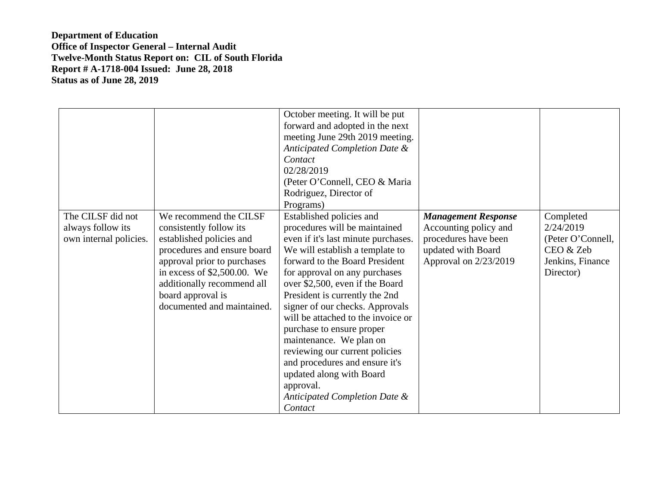| The CILSF did not                           | We recommend the CILSF                                                                                                                                                                                                              | October meeting. It will be put<br>forward and adopted in the next<br>meeting June 29th 2019 meeting.<br>Anticipated Completion Date &<br>Contact<br>02/28/2019<br>(Peter O'Connell, CEO & Maria<br>Rodriguez, Director of<br>Programs)<br>Established policies and                                                                                                                                                                                                                                                                       | <b>Management Response</b>                                                                   | Completed                                                                    |
|---------------------------------------------|-------------------------------------------------------------------------------------------------------------------------------------------------------------------------------------------------------------------------------------|-------------------------------------------------------------------------------------------------------------------------------------------------------------------------------------------------------------------------------------------------------------------------------------------------------------------------------------------------------------------------------------------------------------------------------------------------------------------------------------------------------------------------------------------|----------------------------------------------------------------------------------------------|------------------------------------------------------------------------------|
| always follow its<br>own internal policies. | consistently follow its<br>established policies and<br>procedures and ensure board<br>approval prior to purchases<br>in excess of $$2,500.00$ . We<br>additionally recommend all<br>board approval is<br>documented and maintained. | procedures will be maintained<br>even if it's last minute purchases.<br>We will establish a template to<br>forward to the Board President<br>for approval on any purchases<br>over \$2,500, even if the Board<br>President is currently the 2nd<br>signer of our checks. Approvals<br>will be attached to the invoice or<br>purchase to ensure proper<br>maintenance. We plan on<br>reviewing our current policies<br>and procedures and ensure it's<br>updated along with Board<br>approval.<br>Anticipated Completion Date &<br>Contact | Accounting policy and<br>procedures have been<br>updated with Board<br>Approval on 2/23/2019 | 2/24/2019<br>(Peter O'Connell,<br>CEO & Zeb<br>Jenkins, Finance<br>Director) |